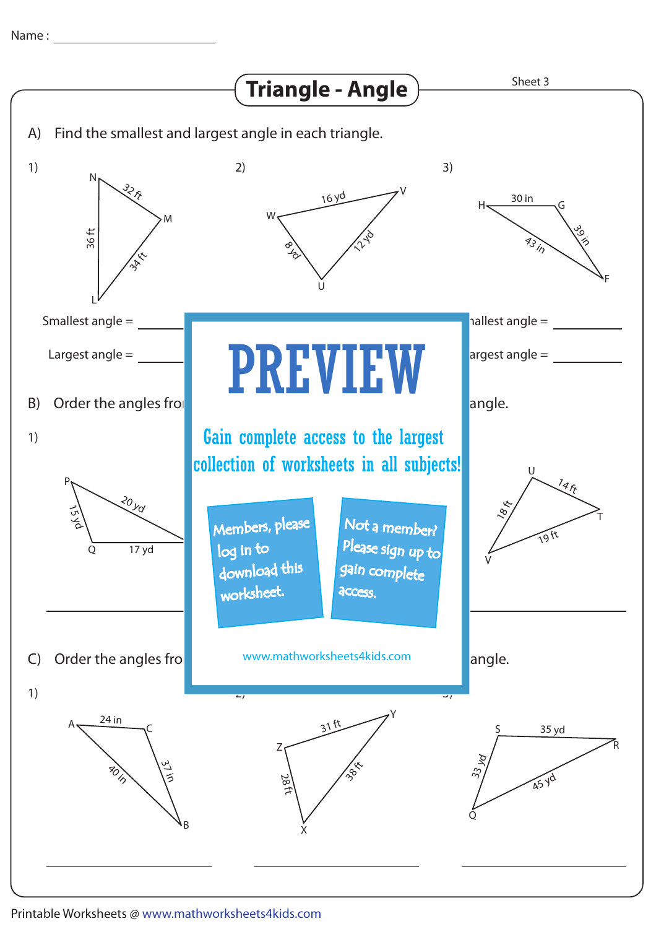